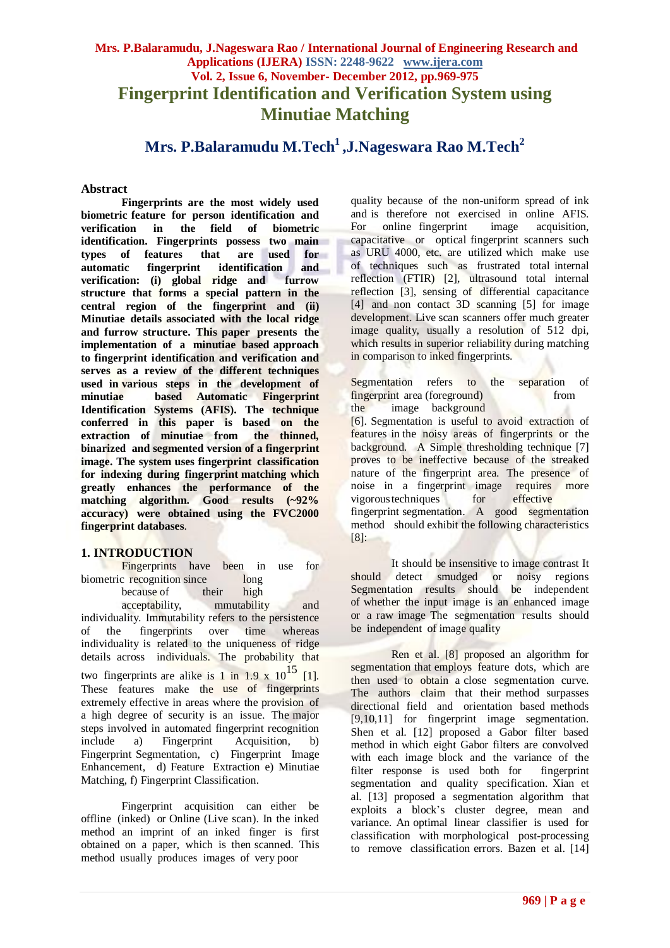# **Mrs. P.Balaramudu, J.Nageswara Rao / International Journal of Engineering Research and Applications (IJERA) ISSN: 2248-9622 www.ijera.com Vol. 2, Issue 6, November- December 2012, pp.969-975 Fingerprint Identification and Verification System using Minutiae Matching**

**Mrs. P.Balaramudu M.Tech<sup>1</sup>,J.Nageswara Rao M.Tech<sup>2</sup>**

### **Abstract**

**Fingerprints are the most widely used biometric feature for person identification and verification in the field of biometric identification. Fingerprints possess two main types** of features that are used<br>automatic fingerprint identification **automatic fingerprint identification and verification: (i) global ridge and furrow structure that forms a special pattern in the central region of the fingerprint and (ii) Minutiae details associated with the local ridge and furrow structure. This paper presents the implementation of a minutiae based approach to fingerprint identification and verification and serves as a review of the different techniques used in various steps in the development of minutiae based Automatic Fingerprint Identification Systems (AFIS). The technique conferred in this paper is based on the extraction of minutiae from the thinned, binarized and segmented version of a fingerprint image. The system uses fingerprint classification for indexing during fingerprint matching which greatly enhances the performance of the matching algorithm. Good results (~92% accuracy) were obtained using the FVC2000 fingerprint databases**.

## **1. INTRODUCTION**

Fingerprints have been in use for biometric recognition since long<br>because of their high because of their high acceptability, mmutability and individuality. Immutability refers to the persistence of the fingerprints over time whereas individuality is related to the uniqueness of ridge details across individuals. The probability that two fingerprints are alike is 1 in  $1.9 \times 10^{15}$  [1]. These features make the use of fingerprints extremely effective in areas where the provision of a high degree of security is an issue. The major steps involved in automated fingerprint recognition include a) Fingerprint Acquisition, b) Fingerprint Segmentation, c) Fingerprint Image Enhancement, d) Feature Extraction e) Minutiae

Fingerprint acquisition can either be offline (inked) or Online (Live scan). In the inked method an imprint of an inked finger is first obtained on a paper, which is then scanned. This method usually produces images of very poor

Matching, f) Fingerprint Classification.

quality because of the non-uniform spread of ink and is therefore not exercised in online AFIS. For online fingerprint image acquisition, capacitative or optical fingerprint scanners such as URU 4000, etc. are utilized which make use of techniques such as frustrated total internal reflection (FTIR) [2], ultrasound total internal reflection [3], sensing of differential capacitance [4] and non contact 3D scanning [5] for image development. Live scan scanners offer much greater image quality, usually a resolution of 512 dpi, which results in superior reliability during matching in comparison to inked fingerprints.

Segmentation refers to the separation of fingerprint area (foreground) from the image background

[6]. Segmentation is useful to avoid extraction of features in the noisy areas of fingerprints or the background. A Simple thresholding technique [7] proves to be ineffective because of the streaked nature of the fingerprint area. The presence of noise in a fingerprint image requires more vigoroustechniques for effective fingerprint segmentation. A good segmentation method should exhibit the following characteristics  $[8]$ :

It should be insensitive to image contrast It should detect smudged or noisy regions Segmentation results should be independent of whether the input image is an enhanced image or a raw image The segmentation results should be independent of image quality

Ren et al. [8] proposed an algorithm for segmentation that employs feature dots, which are then used to obtain a close segmentation curve. The authors claim that their method surpasses directional field and orientation based methods [9,10,11] for fingerprint image segmentation. Shen et al. [12] proposed a Gabor filter based method in which eight Gabor filters are convolved with each image block and the variance of the filter response is used both for fingerprint segmentation and quality specification. Xian et al. [13] proposed a segmentation algorithm that exploits a block"s cluster degree, mean and variance. An optimal linear classifier is used for classification with morphological post-processing to remove classification errors. Bazen et al. [14]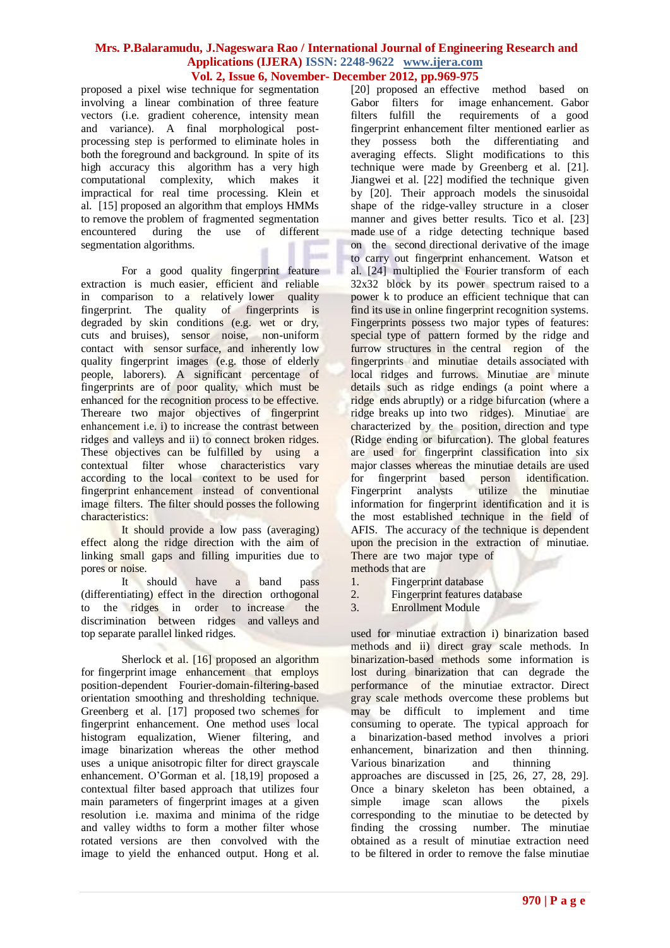proposed a pixel wise technique for segmentation involving a linear combination of three feature vectors (i.e. gradient coherence, intensity mean and variance). A final morphological postprocessing step is performed to eliminate holes in both the foreground and background. In spite of its high accuracy this algorithm has a very high computational complexity, which makes it impractical for real time processing. Klein et al. [15] proposed an algorithm that employs HMMs to remove the problem of fragmented segmentation encountered during the use of different segmentation algorithms.

For a good quality fingerprint feature extraction is much easier, efficient and reliable in comparison to a relatively lower quality fingerprint. The quality of fingerprints is degraded by skin conditions (e.g. wet or dry, cuts and bruises), sensor noise, non-uniform contact with sensor surface, and inherently low quality fingerprint images (e.g. those of elderly people, laborers). A significant percentage of fingerprints are of poor quality, which must be enhanced for the recognition process to be effective. Thereare two major objectives of fingerprint enhancement i.e. i) to increase the contrast between ridges and valleys and ii) to connect broken ridges. These objectives can be fulfilled by using a contextual filter whose characteristics vary according to the local context to be used for fingerprint enhancement instead of conventional image filters. The filter should posses the following characteristics:

It should provide a low pass (averaging) effect along the ridge direction with the aim of linking small gaps and filling impurities due to pores or noise.

It should have a band pass (differentiating) effect in the direction orthogonal to the ridges in order to increase the discrimination between ridges and valleys and top separate parallel linked ridges.

Sherlock et al. [16] proposed an algorithm for fingerprint image enhancement that employs position-dependent Fourier-domain-filtering-based orientation smoothing and thresholding technique. Greenberg et al. [17] proposed two schemes for fingerprint enhancement. One method uses local histogram equalization, Wiener filtering, and image binarization whereas the other method uses a unique anisotropic filter for direct grayscale enhancement. O"Gorman et al. [18,19] proposed a contextual filter based approach that utilizes four main parameters of fingerprint images at a given resolution i.e. maxima and minima of the ridge and valley widths to form a mother filter whose rotated versions are then convolved with the image to yield the enhanced output. Hong et al.

[20] proposed an effective method based on Gabor filters for image enhancement. Gabor filters fulfill the requirements of a good fingerprint enhancement filter mentioned earlier as they possess both the differentiating and averaging effects. Slight modifications to this technique were made by Greenberg et al. [21]. Jiangwei et al. [22] modified the technique given by [20]. Their approach models the sinusoidal shape of the ridge-valley structure in a closer manner and gives better results. Tico et al. [23] made use of a ridge detecting technique based on the second directional derivative of the image to carry out fingerprint enhancement. Watson et al. [24] multiplied the Fourier transform of each  $32x32$  block by its power spectrum raised to a power k to produce an efficient technique that can find its use in online fingerprint recognition systems. Fingerprints possess two major types of features: special type of pattern formed by the ridge and furrow structures in the central region of the fingerprints and minutiae details associated with local ridges and furrows. Minutiae are minute details such as ridge endings (a point where a ridge ends abruptly) or a ridge bifurcation (where a ridge breaks up into two ridges). Minutiae are characterized by the position, direction and type (Ridge ending or bifurcation). The global features are used for fingerprint classification into six major classes whereas the minutiae details are used for fingerprint based person identification. Fingerprint analysts utilize the minutiae information for fingerprint identification and it is the most established technique in the field of AFIS. The accuracy of the technique is dependent upon the precision in the extraction of minutiae. There are two major type of methods that are

- 1. Fingerprint database
- 2. Fingerprint features database
- 3. Enrollment Module

used for minutiae extraction i) binarization based methods and ii) direct gray scale methods. In binarization-based methods some information is lost during binarization that can degrade the performance of the minutiae extractor. Direct gray scale methods overcome these problems but may be difficult to implement and time consuming to operate. The typical approach for a binarization-based method involves a priori enhancement, binarization and then thinning. Various binarization and thinning approaches are discussed in [25, 26, 27, 28, 29]. Once a binary skeleton has been obtained, a simple image scan allows the pixels corresponding to the minutiae to be detected by finding the crossing number. The minutiae obtained as a result of minutiae extraction need to be filtered in order to remove the false minutiae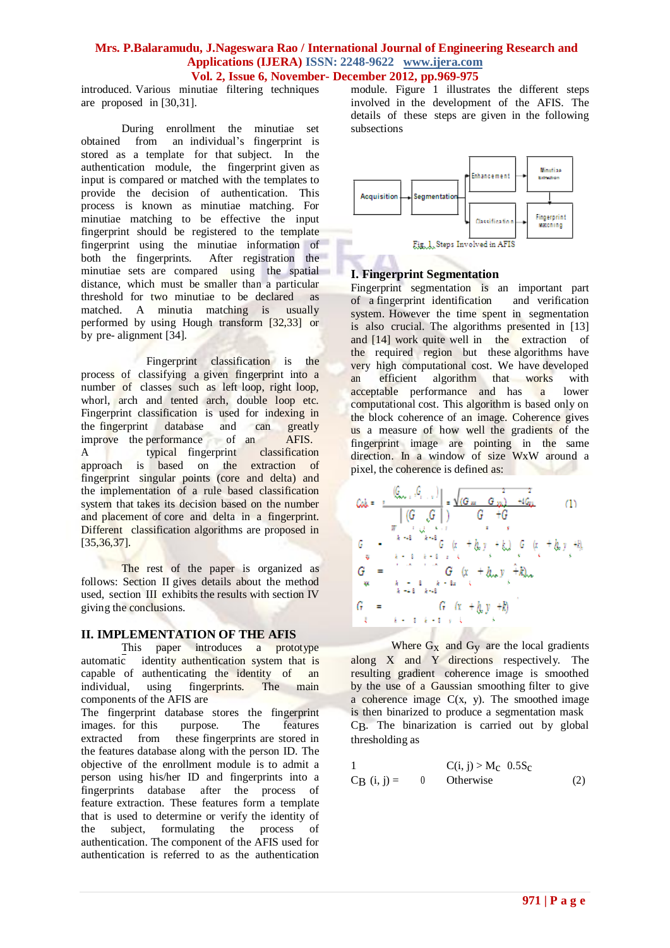introduced. Various minutiae filtering techniques are proposed in [30,31].

During enrollment the minutiae set obtained from an individual"s fingerprint is stored as a template for that subject. In the authentication module, the fingerprint given as input is compared or matched with the templates to provide the decision of authentication. This process is known as minutiae matching. For minutiae matching to be effective the input fingerprint should be registered to the template fingerprint using the minutiae information of both the fingerprints. After registration the both the fingerprints. minutiae sets are compared using the spatial distance, which must be smaller than a particular threshold for two minutiae to be declared as matched. A minutia matching is usually performed by using Hough transform [32,33] or by pre- alignment [34].

Fingerprint classification is the process of classifying a given fingerprint into a number of classes such as left loop, right loop, whorl, arch and tented arch, double loop etc. Fingerprint classification is used for indexing in the fingerprint database and can greatly improve the performance of an AFIS. A typical fingerprint classification approach is based on the extraction of fingerprint singular points (core and delta) and the implementation of a rule based classification system that takes its decision based on the number and placement of core and delta in a fingerprint. Different classification algorithms are proposed in [35,36,37].

The rest of the paper is organized as follows: Section II gives details about the method used, section III exhibits the results with section IV giving the conclusions.

### **II. IMPLEMENTATION OF THE AFIS**

This paper introduces a prototype automatic identity authentication system that is capable of authenticating the identity of an individual, using fingerprints. The main components of the AFIS are

The fingerprint database stores the fingerprint images. for this purpose. The features extracted from these fingerprints are stored in the features database along with the person ID. The objective of the enrollment module is to admit a person using his/her ID and fingerprints into a fingerprints database after the process of feature extraction. These features form a template that is used to determine or verify the identity of the subject, formulating the process of authentication. The component of the AFIS used for authentication is referred to as the authentication

module. Figure 1 illustrates the different steps involved in the development of the AFIS. The details of these steps are given in the following subsections



## **I. Fingerprint Segmentation**

Fingerprint segmentation is an important part of a fingerprint identification and verification system. However the time spent in segmentation is also crucial. The algorithms presented in [13] and [14] work quite well in the extraction of the required region but these algorithms have very high computational cost. We have developed an efficient algorithm that works with acceptable performance and has a lower computational cost. This algorithm is based only on the block coherence of an image. Coherence gives us a measure of how well the gradients of the fingerprint image are pointing in the same direction. In a window of size WxW around a pixel, the coherence is defined as:

Where  $G_X$  and  $G_Y$  are the local gradients along X and Y directions respectively. The resulting gradient coherence image is smoothed by the use of a Gaussian smoothing filter to give a coherence image  $C(x, y)$ . The smoothed image is then binarized to produce a segmentation mask CB. The binarization is carried out by global thresholding as

$$
1 \t C(i, j) > M_C \t 0.5S_C
$$
  
CB (i, j) = 0 Otherwise (2)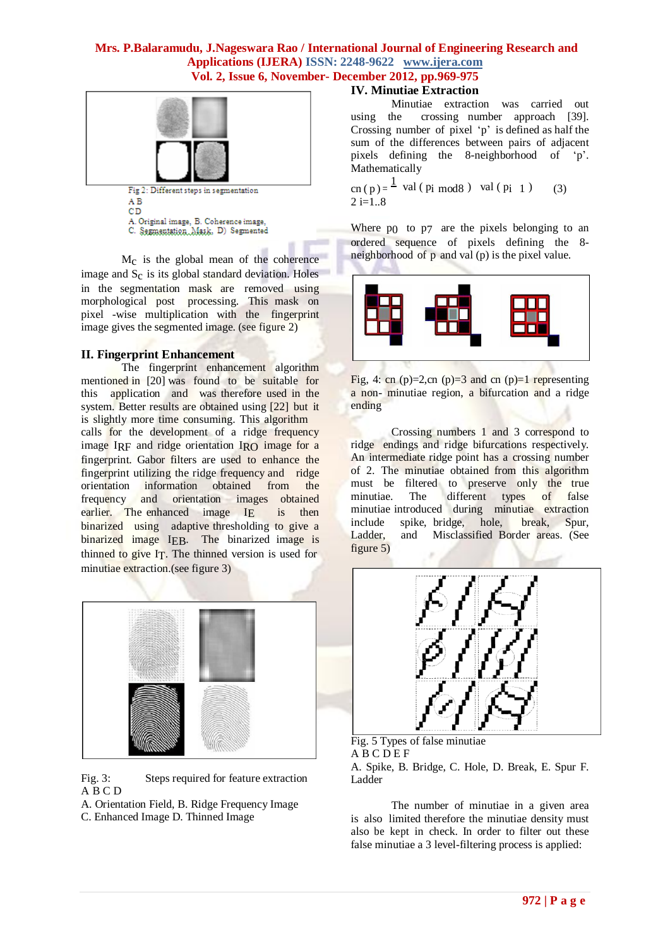

AΒ CD A. Original image, B. Coherence image,

C. Segmentation Mask. D) Segmented

Mc is the global mean of the coherence image and  $S_c$  is its global standard deviation. Holes in the segmentation mask are removed using morphological post processing. This mask on pixel -wise multiplication with the fingerprint image gives the segmented image. (see figure 2)

## **II. Fingerprint Enhancement**

The fingerprint enhancement algorithm mentioned in [20] was found to be suitable for this application and was therefore used in the system. Better results are obtained using [22] but it is slightly more time consuming. This algorithm calls for the development of a ridge frequency image IRF and ridge orientation IRO image for a fingerprint. Gabor filters are used to enhance the fingerprint utilizing the ridge frequency and ridge orientation information obtained from the frequency and orientation images obtained earlier. The enhanced image IE is then binarized using adaptive thresholding to give a binarized image IEB. The binarized image is thinned to give IT. The thinned version is used for minutiae extraction.(see figure 3)



Fig. 3: Steps required for feature extraction A B C D

- A. Orientation Field, B. Ridge Frequency Image
- C. Enhanced Image D. Thinned Image

## **IV. Minutiae Extraction**

Minutiae extraction was carried out using the crossing number approach [39]. Crossing number of pixel  $p'$  is defined as half the sum of the differences between pairs of adjacent pixels defining the 8-neighborhood of "p". Mathematically

cn ( p ) =  $\frac{1}{2}$  val ( pi mod8 ) val ( pi 1 ) (3)  $2 i=1..8$ 

Where p<sub>0</sub> to p<sub>7</sub> are the pixels belonging to an ordered sequence of pixels defining the 8 neighborhood of p and val (p) is the pixel value.



Fig. 4: cn  $(p)=2$ , cn  $(p)=3$  and cn  $(p)=1$  representing a non- minutiae region, a bifurcation and a ridge ending

Crossing numbers 1 and 3 correspond to ridge endings and ridge bifurcations respectively. An intermediate ridge point has a crossing number of 2. The minutiae obtained from this algorithm must be filtered to preserve only the true minutiae. The different types of false minutiae introduced during minutiae extraction include spike, bridge, hole, break, Spur, Ladder, and Misclassified Border areas. (See figure 5)



Fig. 5 Types of false minutiae **ABCDEF** A. Spike, B. Bridge, C. Hole, D. Break, E. Spur F. Ladder

The number of minutiae in a given area is also limited therefore the minutiae density must also be kept in check. In order to filter out these false minutiae a 3 level-filtering process is applied: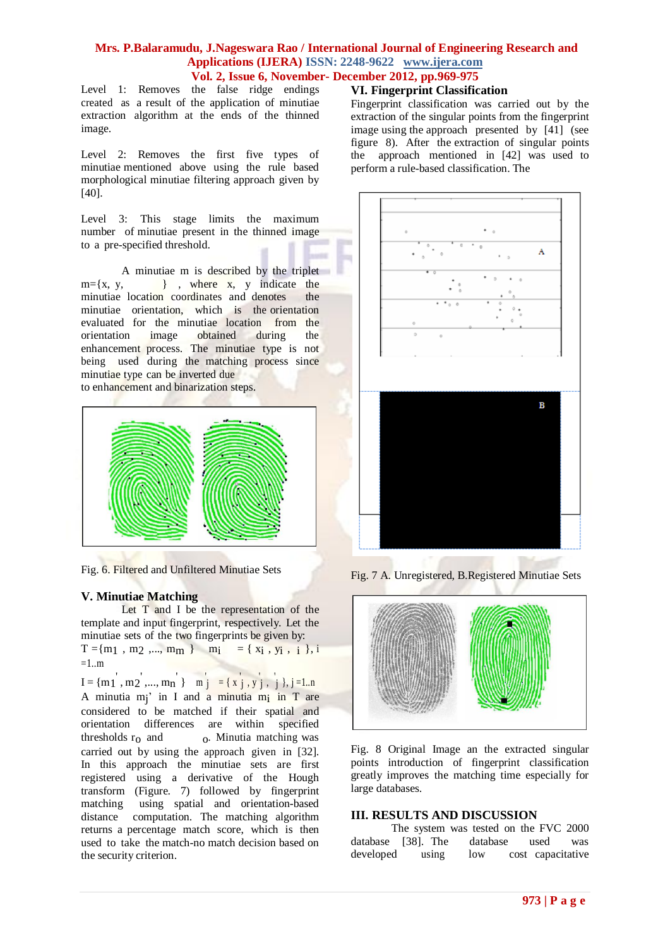Level 1: Removes the false ridge endings created as a result of the application of minutiae extraction algorithm at the ends of the thinned image.

Level 2: Removes the first five types of minutiae mentioned above using the rule based morphological minutiae filtering approach given by [40].

Level 3: This stage limits the maximum number of minutiae present in the thinned image to a pre-specified threshold.

A minutiae m is described by the triplet  $m=\{x, y, \dots \}$ , where x, y indicate the minutiae location coordinates and denotes the minutiae orientation, which is the orientation evaluated for the minutiae location from the orientation image obtained during the orientation image obtained during the enhancement process. The minutiae type is not being used during the matching process since minutiae type can be inverted due to enhancement and binarization steps.



Fig. 6. Filtered and Unfiltered Minutiae Sets

### **V. Minutiae Matching**

Let  $T$  and  $I$  be the representation of the template and input fingerprint, respectively. Let the minutiae sets of the two fingerprints be given by:  $T = \{m_1, m_2, ..., m_m\}$   $m_i = \{x_i, y_i, i\}$ , i  $=1..m$ 

 $I = \{m_1, m_2, ..., m_n\}$   $m_j = \{x, y, y, j\}$ ,  $j = 1..n$ A minutia mj' in I and a minutia m<sub>i</sub> in T are considered to be matched if their spatial and orientation differences are within specified thresholds  $r_0$  and  $\qquad \qquad$  o. Minutia matching was carried out by using the approach given in [32]. In this approach the minutiae sets are first registered using a derivative of the Hough transform (Figure. 7) followed by fingerprint matching using spatial and orientation-based distance computation. The matching algorithm returns a percentage match score, which is then used to take the match-no match decision based on the security criterion.

### **VI. Fingerprint Classification**

Fingerprint classification was carried out by the extraction of the singular points from the fingerprint image using the approach presented by [41] (see figure 8). After the extraction of singular points the approach mentioned in [42] was used to perform a rule-based classification. The



Fig. 7 A. Unregistered, B.Registered Minutiae Sets



Fig. 8 Original Image an the extracted singular points introduction of fingerprint classification greatly improves the matching time especially for large databases.

#### **III. RESULTS AND DISCUSSION**

The system was tested on the FVC 2000 database [38]. The database used was developed using low cost capacitative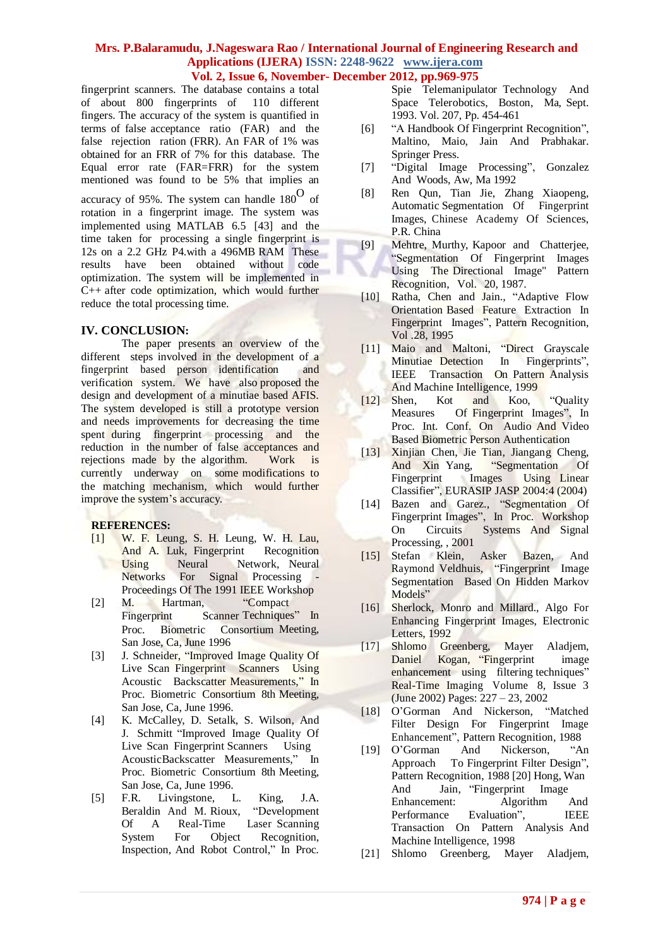fingerprint scanners. The database contains a total of about 800 fingerprints of 110 different fingers. The accuracy of the system is quantified in terms of false acceptance ratio (FAR) and the false rejection ration (FRR). An FAR of 1% was obtained for an FRR of 7% for this database. The Equal error rate (FAR=FRR) for the system mentioned was found to be 5% that implies an accuracy of 95%. The system can handle 180<sup>O</sup> of rotation in a fingerprint image. The system was implemented using MATLAB 6.5 [43] and the time taken for processing a single fingerprint is 12s on a 2.2 GHz P4.with a 496MB RAM These results have been obtained without code optimization. The system will be implemented in C++ after code optimization, which would further reduce the total processing time.

### **IV. CONCLUSION:**

The paper presents an overview of the different steps involved in the development of a fingerprint based person identification and verification system. We have also proposed the design and development of a minutiae based AFIS. The system developed is still a prototype version and needs improvements for decreasing the time spent during fingerprint processing and the reduction in the number of false acceptances and rejections made by the algorithm. Work is currently underway on some modifications to the matching mechanism, which would further improve the system's accuracy.

## **REFERENCES:**

- [1] W. F. Leung, S. H. Leung, W. H. Lau, And A. Luk, Fingerprint Recognition Using Neural Network, Neural Networks For Signal Processing Proceedings Of The 1991 IEEE Workshop
- [2] M. Hartman, "Compact" Fingerprint Scanner Techniques" In Proc. Biometric Consortium Meeting, San Jose, Ca, June 1996
- [3] J. Schneider, "Improved Image Quality Of Live Scan Fingerprint Scanners Using Acoustic Backscatter Measurements," In Proc. Biometric Consortium 8th Meeting, San Jose, Ca, June 1996.
- [4] K. McCalley, D. Setalk, S. Wilson, And J. Schmitt "Improved Image Quality Of Live Scan Fingerprint Scanners Using AcousticBackscatter Measurements," In Proc. Biometric Consortium 8th Meeting, San Jose, Ca, June 1996.
- [5] F.R. Livingstone, L. King, J.A. Beraldin And M. Rioux, "Development Of A Real-Time Laser Scanning System For Object Recognition, Inspection, And Robot Control," In Proc.

Spie Telemanipulator Technology And Space Telerobotics, Boston, Ma, Sept. 1993. Vol. 207, Pp. 454-461

- [6] "A Handbook Of Fingerprint Recognition", Maltino, Maio, Jain And Prabhakar. Springer Press.
- [7] "Digital Image Processing", Gonzalez And Woods, Aw, Ma 1992
- [8] Ren Qun, Tian Jie, Zhang Xiaopeng, Automatic Segmentation Of Fingerprint Images, Chinese Academy Of Sciences, P.R. China
- [9] Mehtre, Murthy, Kapoor and Chatterjee, "Segmentation Of Fingerprint Images Using The Directional Image" Pattern Recognition, Vol. 20, 1987.
- [10] Ratha, Chen and Jain., "Adaptive Flow Orientation Based Feature Extraction In Fingerprint Images", Pattern Recognition, Vol .28, 1995
- [11] Maio and Maltoni, "Direct Grayscale Minutiae Detection In Fingerprints", IEEE Transaction On Pattern Analysis And Machine Intelligence, 1999
- [12] Shen, Kot and Koo, "Quality Measures Of Fingerprint Images", In Proc. Int. Conf. On Audio And Video Based Biometric Person Authentication
- [13] Xinjian Chen, Jie Tian, Jiangang Cheng, And Xin Yang, "Segmentation Of Fingerprint Images Using Linear Classifier", EURASIP JASP 2004:4 (2004)
- [14] Bazen and Garez., "Segmentation Of Fingerprint Images", In Proc. Workshop On Circuits Systems And Signal Processing, , 2001
- [15] Stefan Klein, Asker Bazen, And Raymond Veldhuis, "Fingerprint Image Segmentation Based On Hidden Markov Models"
- [16] Sherlock, Monro and Millard., Algo For Enhancing Fingerprint Images, Electronic Letters, 1992
- [17] Shlomo Greenberg, Mayer Aladjem, Daniel Kogan, "Fingerprint image enhancement using filtering techniques" Real-Time Imaging Volume 8, Issue 3 (June 2002) Pages: 227 – 23, 2002
- [18] O"Gorman And Nickerson, "Matched Filter Design For Fingerprint Image Enhancement", Pattern Recognition, 1988
- [19] O"Gorman And Nickerson, "An Approach To Fingerprint Filter Design", Pattern Recognition, 1988 [20] Hong, Wan And Jain, "Fingerprint Image Enhancement: Algorithm And Performance Evaluation", IEEE Transaction On Pattern Analysis And Machine Intelligence, 1998
- [21] Shlomo Greenberg, Mayer Aladjem,